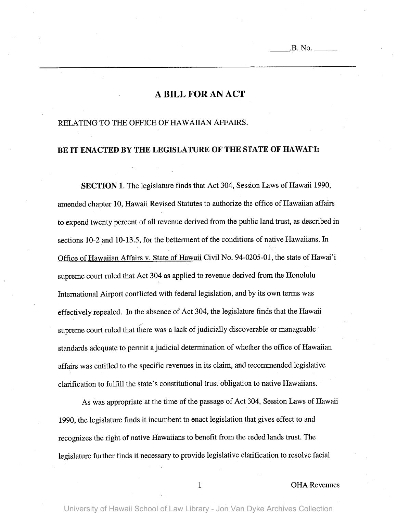# **A BILL FOR AN ACT**

#### RELATING TO THE OFFICE OF HAWAIIAN AFFAIRS.

### BE IT ENACTED BY THE LEGISLATURE OF THE STATE OF HAWAI'I:

**SECTION** 1. The legislature finds that Act 304, Session Laws of Hawaii 1990, amended chapter 10, Hawaii Revised Statutes to authorize the office of Hawaiian affairs to expend twenty percent of all revenue derived from the public land trust, as described in sections 10-2 and 10-13.5, for the betterment of the conditions of native Hawaiians. In Office of Hawaiian Affairs v. State of Hawaii Civil No. 94-0205-01, the state of Hawai'i supreme court ruled that Act 304 as applied to revenue derived from the Honolulu International Airport conflicted with federal legislation, and by its own terms was effectively repealed. In the absence of Act 304, the legislature finds that the Hawaii ./ supreme court ruled that there was a lack of judicially discoverable or manageable standards adequate to permit a judicial determination of whether the office of Hawaiian affairs was entitled to the specific revenues in its claim, and recommended legislative clarification to fulfill the state's constitutional trust obligation to native Hawaiians.

As was appropriate at the time of the passage of Act 304, Session Laws of Hawaii 1990, the legislature finds it incumbent to enact legislation that gives effect to and recognizes the right of native Hawaiians to benefit from the ceded lands trust. The legislature further finds it necessary to provide legislative clarification to resolve facial

#### 1 OHA Revenues

University of Hawaii School of Law Library - Jon Van Dyke Archives Collection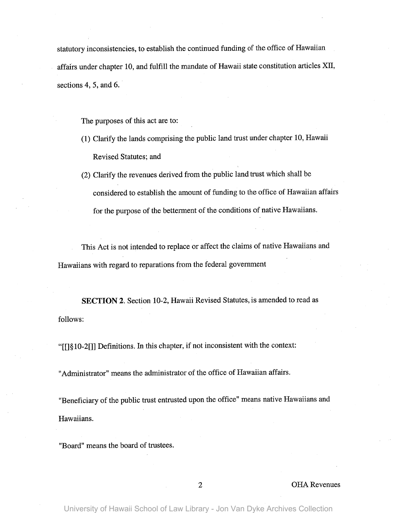statutory inconsistencies, to establish the continued funding of the office of Hawaiian affairs under chapter 10, and fulfill the mandate of Hawaii state constitution articles XII, sections 4, 5, and 6.

The purposes of this act are to:

- (1) Clarify the lands comprising the public land trust under chapter 10, Hawaii Revised Statutes; and
- (2) Clarify the revenues derived from the public land trust which shall be considered to establish the amount of funding to the office of Hawaiian affairs for the purpose of the betterment of the conditions of native Hawaiians.

This Act is not intended to replace or affect the claims of native Hawaiians and Hawaiians with regard to reparations from the federal government

**SECTION** 2. Section 10-2, Hawaii Revised Statutes, is amended to read as follows:

"[[]§ 1O-2[]] Definitions. In this chapter, if not inconsistent with the context:

"Administrator" means the administrator of the office of Hawaiian affairs.

"Beneficiary of the public trust entrusted upon the office" means native Hawaiians and Hawaiians.

"Board" means the board of trustees.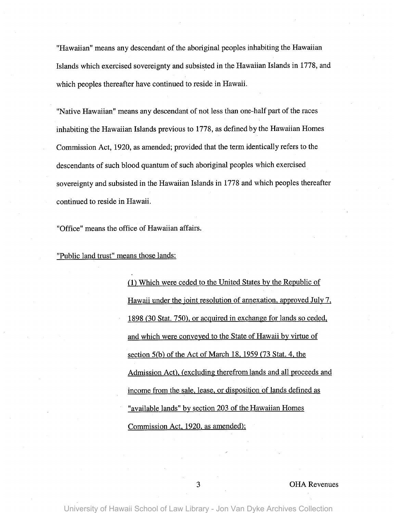"Hawaiian" means any descendant of the aboriginal peoples inhabiting the Hawaiian Islands which exercised sovereignty and subsisted in the Hawaiian Islands in 1778, and which peoples thereafter have continued to reside in Hawaii.

"Native Hawaiian" means any descendant of not less than one-half part of the races inhabiting the Hawaiian Islands previous to 1778, as defined by the Hawaiian Homes Commission Act, 1920, as amended; provided that the term identically refers to the descendants of such blood quantum of such aboriginal peoples which exercised sovereignty and subsisted in the Hawaiian Islands in 1778 and which peoples thereafter continued to reside in Hawaii.

"Office" means the office of Hawaiian affairs.

"Public land trust" means those lands:

(1) Which were ceded to the United States by the Republic of Hawaii under the joint resolution of annexation, approved July 7, 1898 (30 Stat. 750), or acquired in exchange for lands so ceded, and which were conveyed to the State of Hawaii by virtue of section  $5(b)$  of the Act of March 18, 1959 (73 Stat. 4, the Admission Act), (excluding therefrom lands and all proceeds and income from the sale, lease, or disposition of lands defined as "available lands" by section 203 of the Hawaiian Homes Commission Act, 1920, as amended);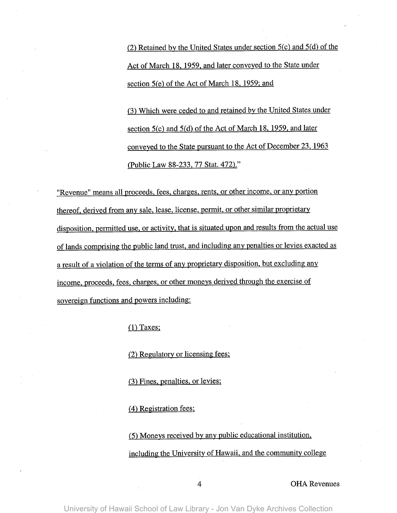(2) Retained by the United States under section 5(c) and 5(d) of the Act of March 18, 1959, and later conveyed to the State under section 5(e) of the Act of March 18, 1959; and

(3) Which were ceded to and retained by the United States under section 5(c) and 5(d) of the Act of March 18, 1959, and later conveyed to the State pursuant to the Act of December 23, 1963 (Public Law 88-233, 77 Stat. 472)."

"Revenue" means all proceeds, fees, charges, rents, or other income, or any portion thereof, derived from any sale, lease, license, permit, or other similar proprietary disposition, permitted use, or activity, that is situated upon and results from the actual use of lands comprising the public land trust, and including any penalties or levies exacted as a result of a violation of the terms of any proprietary disposition, but excluding any income, proceeds, fees, charges, or other moneys derived through the exercise of sovereign functions and powers including:

 $(1)$  Taxes;

(2) Regulatory or licensing fees;

(3) Fines, penalties, or levies;

(4) Registration fees;

(5) Moneys received by any public educational institution, including the University of Hawaii, and the community college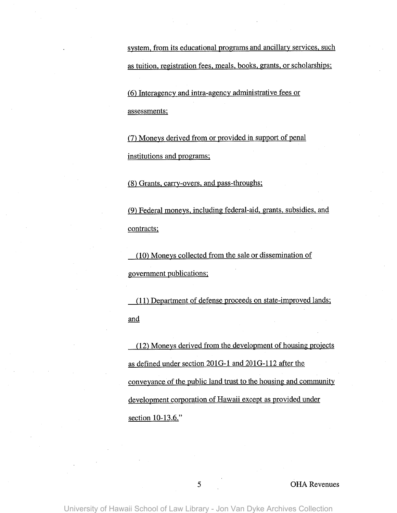system, from its educational programs and ancillary services, such as tuition, registration fees, meals, books, grants, or scholarships;

(6) Interagency and intra-agency administrative fees or assessments;

(7) Moneys derived from or provided in support of penal institutions and programs;

(8) Orants, carry-overs, and pass-throughs;

(9) Federal moneys, including federal-aid, grants, subsidies, and contracts;

(10) Moneys collected from the sale or dissemination of government publications;

(11) Department of defense proceeds on state-improved lands; and

(12) Moneys derived from the development of housing projects as defined under section 2010-1 and 2010-112 after the conveyance of the public land trust to the housing and community development corporation of Hawaii except as provided under section 10-13.6."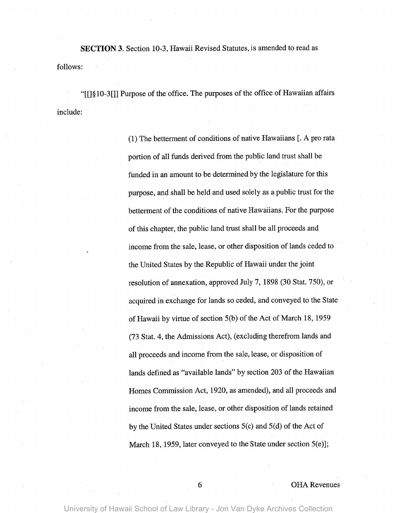**SECTION** 3. Section 10-3, Hawaii Revised Statutes, is amended to read as follows:

"[[] § 10-3 []] Purpose of the office. The purposes of the office of Hawaiian affairs include:

> (1) The betterment of conditions of native Hawaiians [. A pro rata portion of all funds derived from the public land trust shall be funded in an amount to be determined by the legislature for this purpose, and shall be held and used solely as a public trust for the betterment of the conditions of native Hawaiians. For the purpose of this chapter, the public land trust shall be all proceeds and income from the sale, lease, or other disposition of lands ceded to the United States by the Republic of Hawaii under the joint resolution of annexation, approved July 7, 1898 (30 Stat. 750), or acquired in exchange for lands so ceded, and conveyed to the State of Hawaii by virtue of section 5(b) of the Act of March 18, 1959 (73 Stat. 4, the Admissions Act), (excluding therefrom lands and all proceeds and income from the sale, lease, or disposition of lands defined as "available lands" by section 203 of the Hawaiian Homes Commission Act, 1920, as amended), and all proceeds and income from the sale, lease, or other disposition of lands retained by the United States under sections 5(c) and 5(d) of the Act of March 18, 1959, later conveyed to the State under section 5(e)];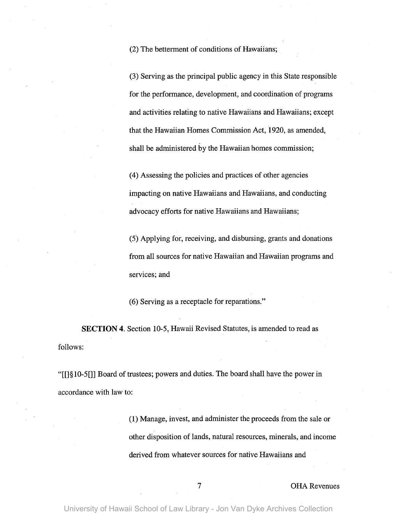(2) The betterment of conditions of Hawaiians;

(3) Serving as the principal public agency in this State responsible for the performance, development, and coordination of programs and activities relating to native Hawaiians and Hawaiians; except that the Hawaiian Homes Commission Act,1920, as amended, shall be administered by the Hawaiian homes commission;

(4) Assessing the policies and practices of other agencies impacting on native Hawaiians and Hawaiians, and conducting advocacy efforts for native Hawaiians and Hawaiians;

(5) Applying for, receiving, and disbursing, grants and donations from all sources for native Hawaiian and Hawaiian programs and services; and

(6) Serving as a receptacle for reparations."

**SECTION** 4. Section 10-5, Hawaii Revised Statutes, is amended to read as follows:

"[[]§1O-5[]] Board of trustees; powers and duties. The board shall have the power in accordance with law to:

> (1) Manage, invest, and administer the proceeds from the sale or other disposition of lands, natural resources, minerals, and income derived from whatever sources for native Hawaiians and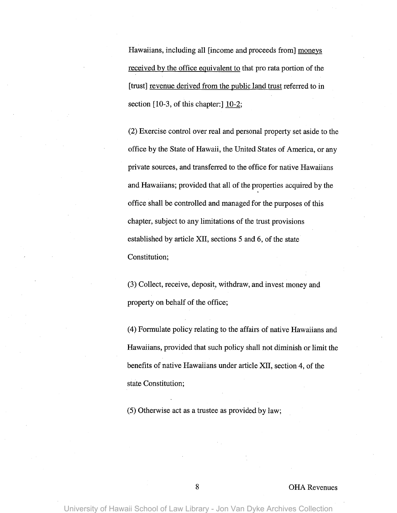Hawaiians, including all [income and proceeds from] moneys received by the office equivalent to that pro rata portion of the [trust] revenue derived from the public land trust referred to in section [10-3, of this chapter:] 10-2;

(2) Exercise control over real and personal property set aside to the office by the State of Hawaii, the United States of America, or any private sources, and transferred to the office for native Hawaiians and Hawaiians; provided that all of the properties acquired by the . office shall be controlled and managed for the purposes of this chapter, subject to any limitations of the trust provisions established by article XII, sections 5 and 6, of the state Constitution;

(3) Collect, receive, deposit, withdraw, and invest money and property on behalf of the office;

(4) Formulate policy relating to the affairs of native Hawaiians and Hawaiians, provided that such policy shall not diminish or limit the benefits of native Hawaiians under article XII, section 4, of the state Constitution;

(5) Otherwise act as a trustee as provided by law;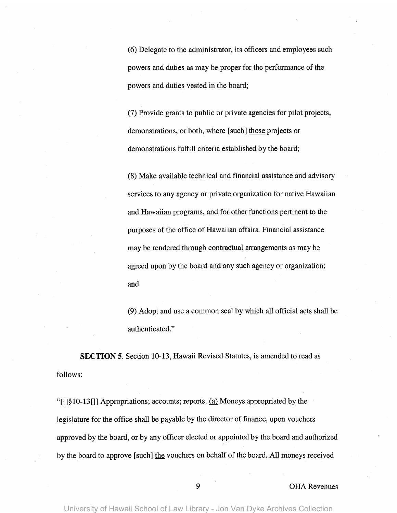(6) Delegate to the administrator, its officers and employees such powers and duties as may be proper for the performance of the powers and duties vested in the board;

(7) Provide grants to public or private agencies for pilot projects, demonstrations, or both, where [such] those projects or demonstrations fulfill criteria established by the board;

(8) Make available technical and financial assistance and advisory services to any agency or private organization for native Hawaiian and Hawaiian programs, and for other functions pertinent to the purposes of the office of Hawaiian affairs. Financial assistance may be rendered through contractual arrangements as may be agreed upon by the board and any such agency or organization; and

(9) Adopt and use a common seal by which all official acts shall be authenticated."

**SECTION** 5. Section 10-13, Hawaii Revised Statutes, is amended to read as follows:

"[ $\left[\frac{810-13}{\right]}$ ] Appropriations; accounts; reports. (a) Moneys appropriated by the legislature for the office shall be payable by the director of finance, upon vouchers approved by the board, or by any officer elected or appointed by the board and authorized by the board to approve [such] the vouchers on behalf of the board. All moneys received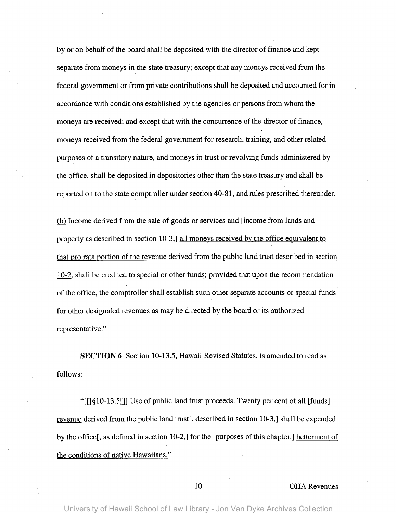by or on behalf of the board shall be deposited with the director of finance and kept separate from moneys in the state treasury; except that any moneys received from the federal government or from private contributions shall be deposited and accounted for in accordance with conditions established by the agencies or persons from whom the moneys are received; and except that with the concurrence of the director of finance, moneys received from the federal government for research, training, and other related purposes of a transitory nature, and moneys in trust or revolving funds administered by the office, shall be deposited in depositories other than the state treasury and shall be reported on to the state comptroller under section 40-81, and rules prescribed thereunder.

fhl Income derived from the sale of goods or services and [income from lands and property as described in section 10-3,] all moneys received by the office equivalent to that pro rata portion of the revenue derived from the public land trust described in section 10-2, shall be credited to special or other funds; provided that upon the recommendation of the office, the comptroller shall establish such other separate accounts or special funds for other designated revenues as may be directed by the board or its authorized representative."

**SECTION** 6. Section 10-13.5, Hawaii Revised Statutes, is amended to read as follows:

"[[]§1O-13.5[]] Use of public land trust proceeds. Twenty per cent of all [funds] revenue derived from the public land trust[, described in section 10-3,] shall be expended by the office[, as defined in section 10-2,] for the [purposes of this chapter.] betterment of the conditions of native Hawaiians."